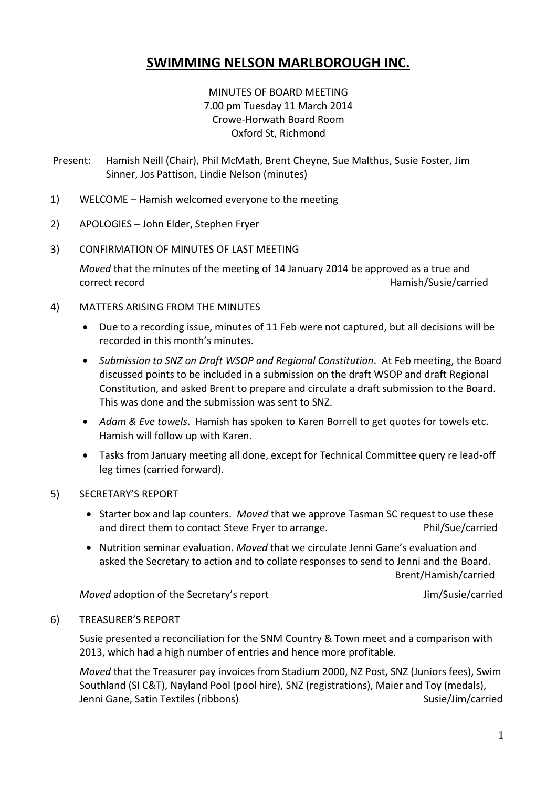# **SWIMMING NELSON MARLBOROUGH INC.**

## MINUTES OF BOARD MEETING 7.00 pm Tuesday 11 March 2014 Crowe-Horwath Board Room Oxford St, Richmond

- Present: Hamish Neill (Chair), Phil McMath, Brent Cheyne, Sue Malthus, Susie Foster, Jim Sinner, Jos Pattison, Lindie Nelson (minutes)
- 1) WELCOME Hamish welcomed everyone to the meeting
- 2) APOLOGIES John Elder, Stephen Fryer
- 3) CONFIRMATION OF MINUTES OF LAST MEETING

*Moved* that the minutes of the meeting of 14 January 2014 be approved as a true and correct record **Hamish/Susie/carried Hamish/Susie/carried** 

- 4) MATTERS ARISING FROM THE MINUTES
	- Due to a recording issue, minutes of 11 Feb were not captured, but all decisions will be recorded in this month's minutes.
	- *Submission to SNZ on Draft WSOP and Regional Constitution*. At Feb meeting, the Board discussed points to be included in a submission on the draft WSOP and draft Regional Constitution, and asked Brent to prepare and circulate a draft submission to the Board. This was done and the submission was sent to SNZ.
	- *Adam & Eve towels*. Hamish has spoken to Karen Borrell to get quotes for towels etc. Hamish will follow up with Karen.
	- Tasks from January meeting all done, except for Technical Committee query re lead-off leg times (carried forward).
- 5) SECRETARY'S REPORT
	- Starter box and lap counters. *Moved* that we approve Tasman SC request to use these and direct them to contact Steve Frver to arrange. The end of Phil/Sue/carried
	- Nutrition seminar evaluation. *Moved* that we circulate Jenni Gane's evaluation and asked the Secretary to action and to collate responses to send to Jenni and the Board. Brent/Hamish/carried

*Moved* adoption of the Secretary's report Moved adoption of the Secretary's report

#### 6) TREASURER'S REPORT

Susie presented a reconciliation for the SNM Country & Town meet and a comparison with 2013, which had a high number of entries and hence more profitable.

*Moved* that the Treasurer pay invoices from Stadium 2000, NZ Post, SNZ (Juniors fees), Swim Southland (SI C&T), Nayland Pool (pool hire), SNZ (registrations), Maier and Toy (medals), Jenni Gane, Satin Textiles (ribbons) Susie/Jim/carried Susie/Jim/carried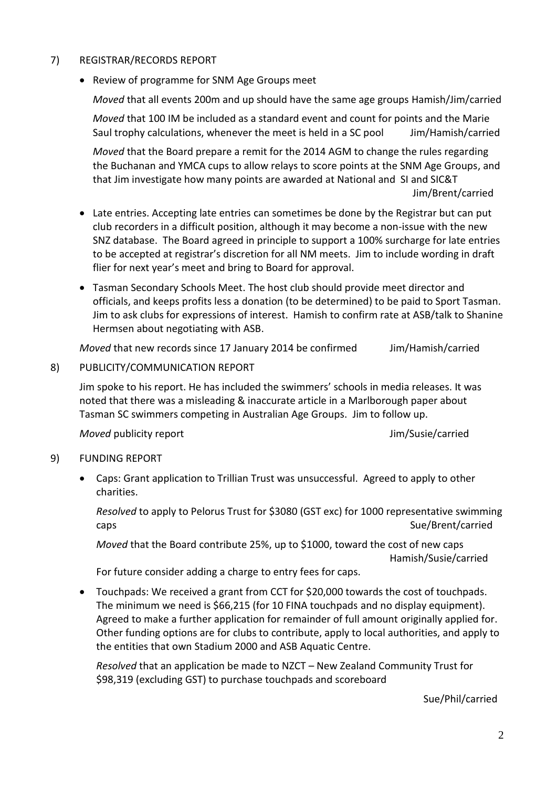## 7) REGISTRAR/RECORDS REPORT

• Review of programme for SNM Age Groups meet

*Moved* that all events 200m and up should have the same age groups Hamish/Jim/carried

*Moved* that 100 IM be included as a standard event and count for points and the Marie Saul trophy calculations, whenever the meet is held in a SC pool Jim/Hamish/carried

*Moved* that the Board prepare a remit for the 2014 AGM to change the rules regarding the Buchanan and YMCA cups to allow relays to score points at the SNM Age Groups, and that Jim investigate how many points are awarded at National and SI and SIC&T Jim/Brent/carried

- Late entries. Accepting late entries can sometimes be done by the Registrar but can put club recorders in a difficult position, although it may become a non-issue with the new SNZ database. The Board agreed in principle to support a 100% surcharge for late entries to be accepted at registrar's discretion for all NM meets. Jim to include wording in draft flier for next year's meet and bring to Board for approval.
- Tasman Secondary Schools Meet. The host club should provide meet director and officials, and keeps profits less a donation (to be determined) to be paid to Sport Tasman. Jim to ask clubs for expressions of interest. Hamish to confirm rate at ASB/talk to Shanine Hermsen about negotiating with ASB.

*Moved* that new records since 17 January 2014 be confirmed Jim/Hamish/carried

## 8) PUBLICITY/COMMUNICATION REPORT

Jim spoke to his report. He has included the swimmers' schools in media releases. It was noted that there was a misleading & inaccurate article in a Marlborough paper about Tasman SC swimmers competing in Australian Age Groups. Jim to follow up.

*Moved* publicity report **All and Susies** Jim/Susie/carried

## 9) FUNDING REPORT

 Caps: Grant application to Trillian Trust was unsuccessful. Agreed to apply to other charities.

*Resolved* to apply to Pelorus Trust for \$3080 (GST exc) for 1000 representative swimming caps and the subset of the state of the state of the Sue/Brent/carried

*Moved* that the Board contribute 25%, up to \$1000, toward the cost of new caps

Hamish/Susie/carried

For future consider adding a charge to entry fees for caps.

 Touchpads: We received a grant from CCT for \$20,000 towards the cost of touchpads. The minimum we need is \$66,215 (for 10 FINA touchpads and no display equipment). Agreed to make a further application for remainder of full amount originally applied for. Other funding options are for clubs to contribute, apply to local authorities, and apply to the entities that own Stadium 2000 and ASB Aquatic Centre.

*Resolved* that an application be made to NZCT – New Zealand Community Trust for \$98,319 (excluding GST) to purchase touchpads and scoreboard

Sue/Phil/carried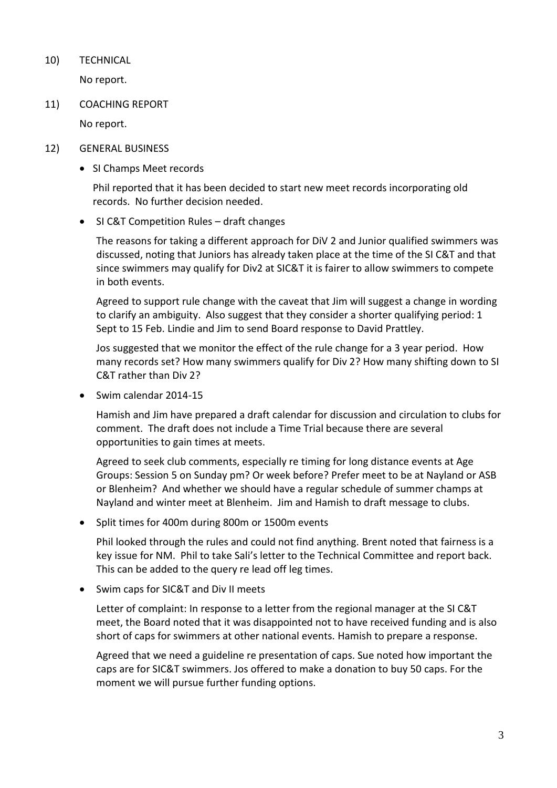10) TECHNICAL

No report.

11) COACHING REPORT

No report.

- 12) GENERAL BUSINESS
	- SI Champs Meet records

Phil reported that it has been decided to start new meet records incorporating old records. No further decision needed.

SI C&T Competition Rules – draft changes

The reasons for taking a different approach for DiV 2 and Junior qualified swimmers was discussed, noting that Juniors has already taken place at the time of the SI C&T and that since swimmers may qualify for Div2 at SIC&T it is fairer to allow swimmers to compete in both events.

Agreed to support rule change with the caveat that Jim will suggest a change in wording to clarify an ambiguity. Also suggest that they consider a shorter qualifying period: 1 Sept to 15 Feb. Lindie and Jim to send Board response to David Prattley.

Jos suggested that we monitor the effect of the rule change for a 3 year period. How many records set? How many swimmers qualify for Div 2? How many shifting down to SI C&T rather than Div 2?

• Swim calendar 2014-15

Hamish and Jim have prepared a draft calendar for discussion and circulation to clubs for comment. The draft does not include a Time Trial because there are several opportunities to gain times at meets.

Agreed to seek club comments, especially re timing for long distance events at Age Groups: Session 5 on Sunday pm? Or week before? Prefer meet to be at Nayland or ASB or Blenheim? And whether we should have a regular schedule of summer champs at Nayland and winter meet at Blenheim. Jim and Hamish to draft message to clubs.

• Split times for 400m during 800m or 1500m events

Phil looked through the rules and could not find anything. Brent noted that fairness is a key issue for NM. Phil to take Sali's letter to the Technical Committee and report back. This can be added to the query re lead off leg times.

• Swim caps for SIC&T and Div II meets

Letter of complaint: In response to a letter from the regional manager at the SI C&T meet, the Board noted that it was disappointed not to have received funding and is also short of caps for swimmers at other national events. Hamish to prepare a response.

Agreed that we need a guideline re presentation of caps. Sue noted how important the caps are for SIC&T swimmers. Jos offered to make a donation to buy 50 caps. For the moment we will pursue further funding options.